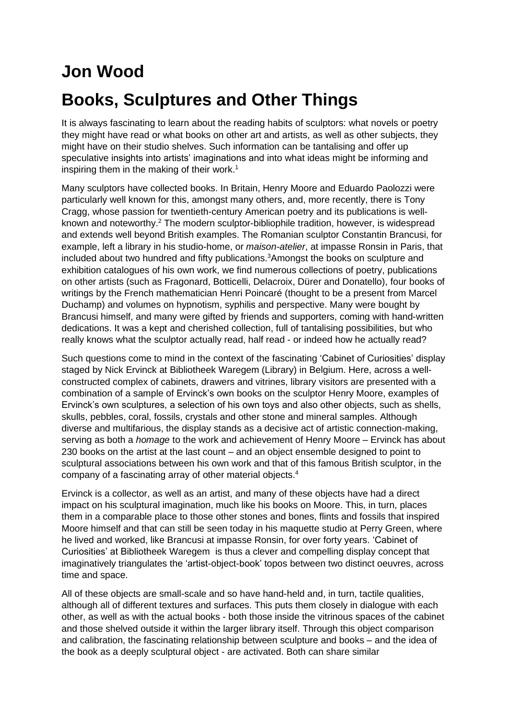## **Jon Wood Books, Sculptures and Other Things**

It is always fascinating to learn about the reading habits of sculptors: what novels or poetry they might have read or what books on other art and artists, as well as other subjects, they might have on their studio shelves. Such information can be tantalising and offer up speculative insights into artists' imaginations and into what ideas might be informing and inspiring them in the making of their work. 1

Many sculptors have collected books. In Britain, Henry Moore and Eduardo Paolozzi were particularly well known for this, amongst many others, and, more recently, there is Tony Cragg, whose passion for twentieth-century American poetry and its publications is wellknown and noteworthy.<sup>2</sup> The modern sculptor-bibliophile tradition, however, is widespread and extends well beyond British examples. The Romanian sculptor Constantin Brancusi, for example, left a library in his studio-home, or *maison-atelier*, at impasse Ronsin in Paris, that included about two hundred and fifty publications.<sup>3</sup>Amongst the books on sculpture and exhibition catalogues of his own work, we find numerous collections of poetry, publications on other artists (such as Fragonard, Botticelli, Delacroix, Dürer and Donatello), four books of writings by the French mathematician Henri Poincaré (thought to be a present from Marcel Duchamp) and volumes on hypnotism, syphilis and perspective. Many were bought by Brancusi himself, and many were gifted by friends and supporters, coming with hand-written dedications. It was a kept and cherished collection, full of tantalising possibilities, but who really knows what the sculptor actually read, half read - or indeed how he actually read?

Such questions come to mind in the context of the fascinating 'Cabinet of Curiosities' display staged by Nick Ervinck at Bibliotheek Waregem (Library) in Belgium. Here, across a wellconstructed complex of cabinets, drawers and vitrines, library visitors are presented with a combination of a sample of Ervinck's own books on the sculptor Henry Moore, examples of Ervinck's own sculptures, a selection of his own toys and also other objects, such as shells, skulls, pebbles, coral, fossils, crystals and other stone and mineral samples. Although diverse and multifarious, the display stands as a decisive act of artistic connection-making, serving as both a *homage* to the work and achievement of Henry Moore – Ervinck has about 230 books on the artist at the last count – and an object ensemble designed to point to sculptural associations between his own work and that of this famous British sculptor, in the company of a fascinating array of other material objects.<sup>4</sup>

Ervinck is a collector, as well as an artist, and many of these objects have had a direct impact on his sculptural imagination, much like his books on Moore. This, in turn, places them in a comparable place to those other stones and bones, flints and fossils that inspired Moore himself and that can still be seen today in his maquette studio at Perry Green, where he lived and worked, like Brancusi at impasse Ronsin, for over forty years. 'Cabinet of Curiosities' at Bibliotheek Waregem is thus a clever and compelling display concept that imaginatively triangulates the 'artist-object-book' topos between two distinct oeuvres, across time and space.

All of these objects are small-scale and so have hand-held and, in turn, tactile qualities, although all of different textures and surfaces. This puts them closely in dialogue with each other, as well as with the actual books - both those inside the vitrinous spaces of the cabinet and those shelved outside it within the larger library itself. Through this object comparison and calibration, the fascinating relationship between sculpture and books – and the idea of the book as a deeply sculptural object - are activated. Both can share similar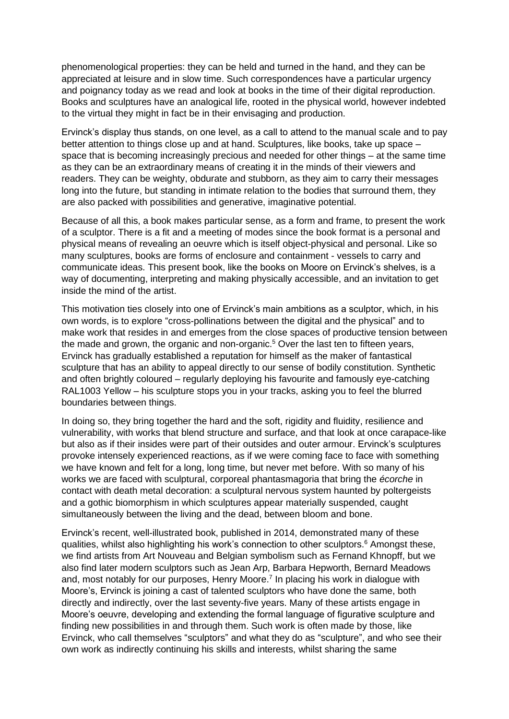phenomenological properties: they can be held and turned in the hand, and they can be appreciated at leisure and in slow time. Such correspondences have a particular urgency and poignancy today as we read and look at books in the time of their digital reproduction. Books and sculptures have an analogical life, rooted in the physical world, however indebted to the virtual they might in fact be in their envisaging and production.

Ervinck's display thus stands, on one level, as a call to attend to the manual scale and to pay better attention to things close up and at hand. Sculptures, like books, take up space – space that is becoming increasingly precious and needed for other things – at the same time as they can be an extraordinary means of creating it in the minds of their viewers and readers. They can be weighty, obdurate and stubborn, as they aim to carry their messages long into the future, but standing in intimate relation to the bodies that surround them, they are also packed with possibilities and generative, imaginative potential.

Because of all this, a book makes particular sense, as a form and frame, to present the work of a sculptor. There is a fit and a meeting of modes since the book format is a personal and physical means of revealing an oeuvre which is itself object-physical and personal. Like so many sculptures, books are forms of enclosure and containment - vessels to carry and communicate ideas. This present book, like the books on Moore on Ervinck's shelves, is a way of documenting, interpreting and making physically accessible, and an invitation to get inside the mind of the artist.

This motivation ties closely into one of Ervinck's main ambitions as a sculptor, which, in his own words, is to explore "cross-pollinations between the digital and the physical" and to make work that resides in and emerges from the close spaces of productive tension between the made and grown, the organic and non-organic.<sup>5</sup> Over the last ten to fifteen years, Ervinck has gradually established a reputation for himself as the maker of fantastical sculpture that has an ability to appeal directly to our sense of bodily constitution. Synthetic and often brightly coloured – regularly deploying his favourite and famously eye-catching RAL1003 Yellow – his sculpture stops you in your tracks, asking you to feel the blurred boundaries between things.

In doing so, they bring together the hard and the soft, rigidity and fluidity, resilience and vulnerability, with works that blend structure and surface, and that look at once carapace-like but also as if their insides were part of their outsides and outer armour. Ervinck's sculptures provoke intensely experienced reactions, as if we were coming face to face with something we have known and felt for a long, long time, but never met before. With so many of his works we are faced with sculptural, corporeal phantasmagoria that bring the *écorche* in contact with death metal decoration: a sculptural nervous system haunted by poltergeists and a gothic biomorphism in which sculptures appear materially suspended, caught simultaneously between the living and the dead, between bloom and bone.

Ervinck's recent, well-illustrated book, published in 2014, demonstrated many of these qualities, whilst also highlighting his work's connection to other sculptors.<sup>6</sup> Amongst these, we find artists from Art Nouveau and Belgian symbolism such as Fernand Khnopff, but we also find later modern sculptors such as Jean Arp, Barbara Hepworth, Bernard Meadows and, most notably for our purposes, Henry Moore.<sup>7</sup> In placing his work in dialogue with Moore's, Ervinck is joining a cast of talented sculptors who have done the same, both directly and indirectly, over the last seventy-five years. Many of these artists engage in Moore's oeuvre, developing and extending the formal language of figurative sculpture and finding new possibilities in and through them. Such work is often made by those, like Ervinck, who call themselves "sculptors" and what they do as "sculpture", and who see their own work as indirectly continuing his skills and interests, whilst sharing the same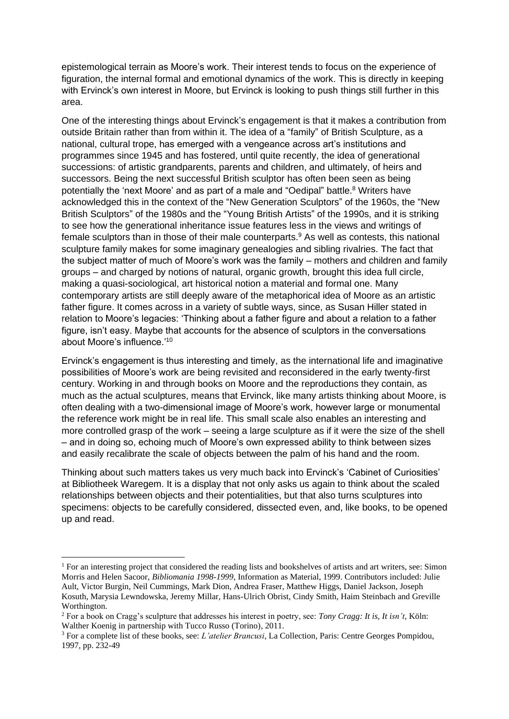epistemological terrain as Moore's work. Their interest tends to focus on the experience of figuration, the internal formal and emotional dynamics of the work. This is directly in keeping with Ervinck's own interest in Moore, but Ervinck is looking to push things still further in this area.

One of the interesting things about Ervinck's engagement is that it makes a contribution from outside Britain rather than from within it. The idea of a "family" of British Sculpture, as a national, cultural trope, has emerged with a vengeance across art's institutions and programmes since 1945 and has fostered, until quite recently, the idea of generational successions: of artistic grandparents, parents and children, and ultimately, of heirs and successors. Being the next successful British sculptor has often been seen as being potentially the 'next Moore' and as part of a male and "Oedipal" battle.<sup>8</sup> Writers have acknowledged this in the context of the "New Generation Sculptors" of the 1960s, the "New British Sculptors" of the 1980s and the "Young British Artists" of the 1990s, and it is striking to see how the generational inheritance issue features less in the views and writings of female sculptors than in those of their male counterparts.<sup>9</sup> As well as contests, this national sculpture family makes for some imaginary genealogies and sibling rivalries. The fact that the subject matter of much of Moore's work was the family – mothers and children and family groups – and charged by notions of natural, organic growth, brought this idea full circle, making a quasi-sociological, art historical notion a material and formal one. Many contemporary artists are still deeply aware of the metaphorical idea of Moore as an artistic father figure. It comes across in a variety of subtle ways, since, as Susan Hiller stated in relation to Moore's legacies: 'Thinking about a father figure and about a relation to a father figure, isn't easy. Maybe that accounts for the absence of sculptors in the conversations about Moore's influence.'<sup>10</sup>

Ervinck's engagement is thus interesting and timely, as the international life and imaginative possibilities of Moore's work are being revisited and reconsidered in the early twenty-first century. Working in and through books on Moore and the reproductions they contain, as much as the actual sculptures, means that Ervinck, like many artists thinking about Moore, is often dealing with a two-dimensional image of Moore's work, however large or monumental the reference work might be in real life. This small scale also enables an interesting and more controlled grasp of the work – seeing a large sculpture as if it were the size of the shell – and in doing so, echoing much of Moore's own expressed ability to think between sizes and easily recalibrate the scale of objects between the palm of his hand and the room.

Thinking about such matters takes us very much back into Ervinck's 'Cabinet of Curiosities' at Bibliotheek Waregem. It is a display that not only asks us again to think about the scaled relationships between objects and their potentialities, but that also turns sculptures into specimens: objects to be carefully considered, dissected even, and, like books, to be opened up and read.

 $1$  For an interesting project that considered the reading lists and bookshelves of artists and art writers, see: Simon Morris and Helen Sacoor, *Bibliomania 1998-1999*, Information as Material, 1999. Contributors included: Julie Ault, Victor Burgin, Neil Cummings, Mark Dion, Andrea Fraser, Matthew Higgs, Daniel Jackson, Joseph Kosuth, Marysia Lewndowska, Jeremy Millar, Hans-Ulrich Obrist, Cindy Smith, Haim Steinbach and Greville Worthington.

<sup>2</sup> For a book on Cragg's sculpture that addresses his interest in poetry, see: *Tony Cragg: It is, It isn't*, Köln: Walther Koenig in partnership with Tucco Russo (Torino), 2011.

<sup>3</sup> For a complete list of these books, see: *L'atelier Brancusi*, La Collection, Paris: Centre Georges Pompidou, 1997, pp. 232-49